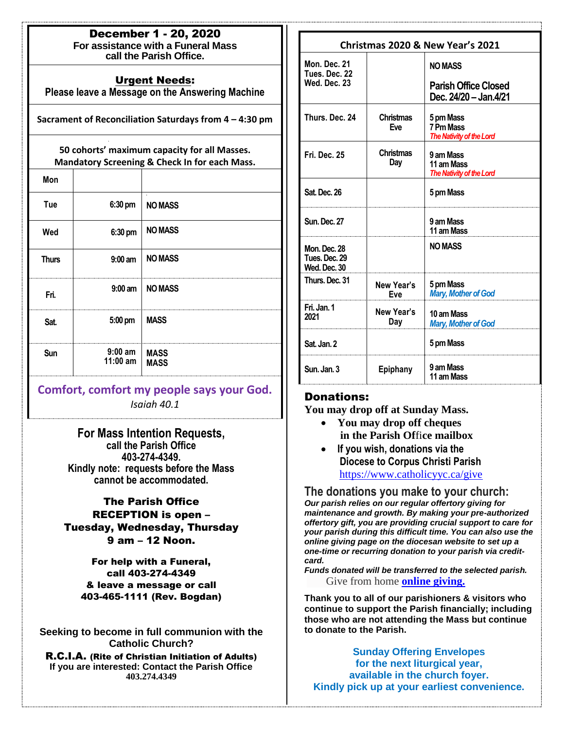| <b>December 1 - 20, 2020</b>       |  |
|------------------------------------|--|
| For assistance with a Funeral Mass |  |

**call the Parish Office.**

### Urgent Needs:

**Please leave a Message on the Answering Machine**

**Sacrament of Reconciliation Saturdays from 4 – 4:30 pm**

#### **50 cohorts' maximum capacity for all Masses. Mandatory Screening & Check In for each Mass.**

| Mon          |                             |                            |
|--------------|-----------------------------|----------------------------|
| Tue          | 6:30 pm                     | $\Delta$<br><b>NO MASS</b> |
| Wed          | 6:30 pm                     | <b>NO MASS</b>             |
| <b>Thurs</b> | $9:00$ am                   | <b>NO MASS</b>             |
| Fri.         | $9:00 \text{ am}$           | <b>NO MASS</b>             |
| Sat.         | 5:00 pm                     | <b>MASS</b>                |
| Sun          | <br>$9:00$ am<br>$11:00$ am | <b>MASS</b><br><b>MASS</b> |

## **Comfort, comfort my people says your God.** *Isaiah 40.1*

**For Mass Intention Requests, call the Parish Office 403-274-4349. Kindly note: requests before the Mass cannot be accommodated.** 

...<br>.

## The Parish Office

RECEPTION is open – Tuesday, Wednesday, Thursday 9 am – 12 Noon.

For help with a Funeral, call 403-274-4349 & leave a message or call 403-465-1111 (Rev. Bogdan)

**Seeking to become in full communion with the Catholic Church?**

R.C.I.A. (Rite of Christian Initiation of Adults) **If you are interested: Contact the Parish Office 403.274.4349**

| Christmas 2020 & New Year's 2021                     |                                |                                                                        |  |
|------------------------------------------------------|--------------------------------|------------------------------------------------------------------------|--|
| Mon. Dec. 21<br>Tues. Dec. 22<br>Wed. Dec. 23        |                                | <b>NO MASS</b><br><b>Parish Office Closed</b><br>Dec. 24/20 - Jan.4/21 |  |
| Thurs. Dec. 24                                       | <b>Christmas</b><br><b>Fve</b> | 5 pm Mass<br>7 Pm Mass<br>The Nativity of the Lord                     |  |
| Fri. Dec. 25                                         | <b>Christmas</b><br>Day        | 9 am Mass<br>11 am Mass<br>The Nativity of the Lord                    |  |
| Sat. Dec. 26                                         |                                | 5 pm Mass                                                              |  |
| Sun. Dec. 27                                         |                                | 9 am Mass<br>11 am Mass                                                |  |
| <b>Mon. Dec. 28</b><br>Tues, Dec, 29<br>Wed. Dec. 30 |                                | <b>NO MASS</b>                                                         |  |
| Thurs. Dec. 31                                       | New Year's<br>Eve              | 5 pm Mass<br><b>Mary, Mother of God</b>                                |  |
| Fri. Jan. 1<br>2021                                  | New Year's<br>Day              | 10 am Mass<br><b>Mary, Mother of God</b>                               |  |
| Sat. Jan. 2                                          |                                | 5 pm Mass                                                              |  |
| Sun. Jan. 3                                          | Epiphany                       | 9 am Mass<br>11 am Mass                                                |  |

## Donations:

**You may drop off at Sunday Mass.**

- **You may drop off cheques in the Parish Of**fi**ce mailbox**
- **If you wish, donations via the Diocese to Corpus Christi Parish** https://www.catholicyyc.ca/give

**The donations you make to your church:**  *Our parish relies on our regular offertory giving for maintenance and growth. By making your pre-authorized offertory gift, you are providing crucial support to care for your parish during this difficult time. You can also use the online giving page on the diocesan website to set up a one-time or recurring donation to your parish via creditcard.* 

*Funds donated will be transferred to the selected parish.*  Give from home **[online giving.](https://www.catholicyyc.ca/give.html)**

**Thank you to all of our parishioners & visitors who continue to support the Parish financially; including those who are not attending the Mass but continue to donate to the Parish.**

**Sunday Offering Envelopes for the next liturgical year, available in the church foyer. Kindly pick up at your earliest convenience.**